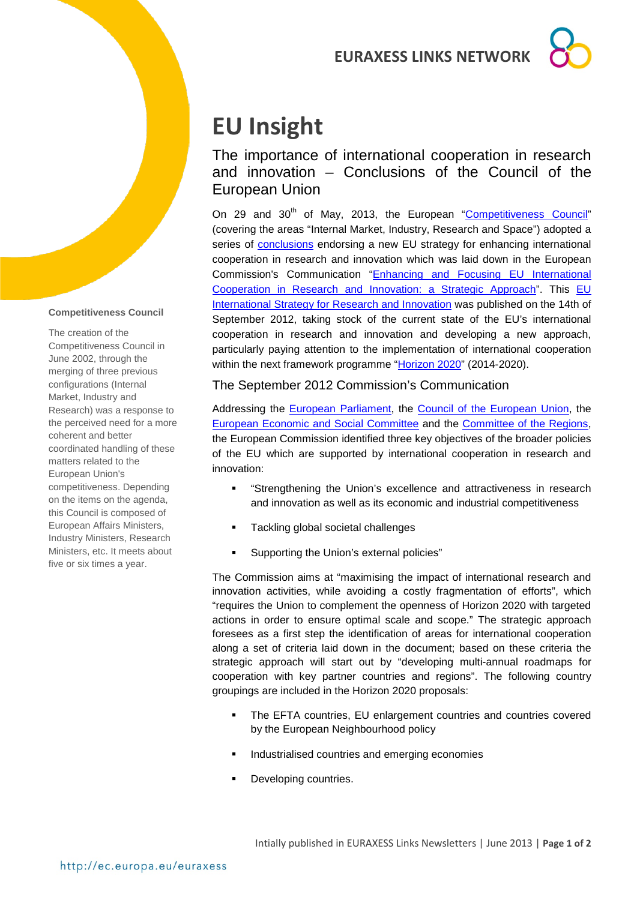# **EURAXESS LINKS NETWORK**



# **EU Insight**

The importance of international cooperation in research and innovation – Conclusions of the Council of the European Union

On 29 and 30<sup>th</sup> of May, 2013, the European ["Competitiveness Council"](http://www.consilium.europa.eu/policies/council-configurations/competitiveness?lang=en) (covering the areas "Internal Market, Industry, Research and Space") adopted a series of [conclusions](http://www.consilium.europa.eu/uedocs/cms_data/docs/pressdata/en/intm/137346.pdf) endorsing a new EU strategy for enhancing international cooperation in research and innovation which was laid down in the European Commission's Communication ["Enhancing and Focusing EU International](http://ec.europa.eu/research/iscp/pdf/com_2012_497_communication_from_commission_to_inst_en.pdf)  [Cooperation in Research and Innovation: a Strategic Approach"](http://ec.europa.eu/research/iscp/pdf/com_2012_497_communication_from_commission_to_inst_en.pdf). This EU [International Strategy for Research and Innovation](http://ec.europa.eu/research/iscp/index.cfm?lg=en&pg=strategy) was published on the 14th of September 2012, taking stock of the current state of the EU's international cooperation in research and innovation and developing a new approach, particularly paying attention to the implementation of international cooperation within the next framework programme ["Horizon 2020"](http://ec.europa.eu/research/horizon2020/index_en.cfm) (2014-2020).

The September 2012 Commission's Communication

Addressing the [European Parliament,](http://www.europarl.europa.eu/portal/en) the [Council of the European Union,](http://www.consilium.europa.eu/council?lang=en) the [European Economic and Social Committee](http://www.eesc.europa.eu/?i=portal.en.home) and the [Committee of the Regions,](http://cor.europa.eu/en/Pages/home.aspx) the European Commission identified three key objectives of the broader policies of the EU which are supported by international cooperation in research and innovation:

- "Strengthening the Union's excellence and attractiveness in research and innovation as well as its economic and industrial competitiveness
- Tackling global societal challenges
- Supporting the Union's external policies"

The Commission aims at "maximising the impact of international research and innovation activities, while avoiding a costly fragmentation of efforts", which "requires the Union to complement the openness of Horizon 2020 with targeted actions in order to ensure optimal scale and scope." The strategic approach foresees as a first step the identification of areas for international cooperation along a set of criteria laid down in the document; based on these criteria the strategic approach will start out by "developing multi-annual roadmaps for cooperation with key partner countries and regions". The following country groupings are included in the Horizon 2020 proposals:

- **The EFTA countries, EU enlargement countries and countries covered** by the European Neighbourhood policy
- **Industrialised countries and emerging economies**
- **Developing countries.**

#### **Competitiveness Council**

The creation of the Competitiveness Council in June 2002, through the merging of three previous configurations (Internal Market, Industry and Research) was a response to the perceived need for a more coherent and better coordinated handling of these matters related to the European Union's competitiveness. Depending on the items on the agenda, this Council is composed of European Affairs Ministers, Industry Ministers, Research Ministers, etc. It meets about five or six times a year.